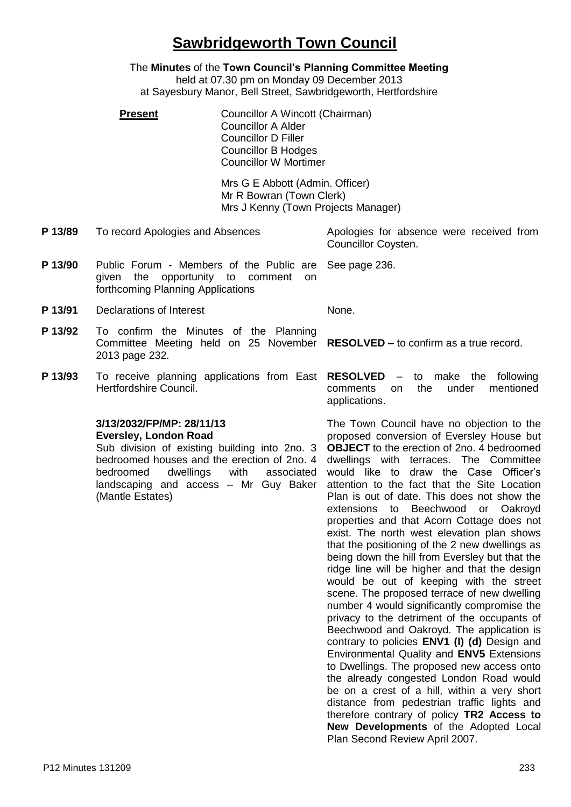# **Sawbridgeworth Town Council**

The **Minutes** of the **Town Council's Planning Committee Meeting** held at 07.30 pm on Monday 09 December 2013 at Sayesbury Manor, Bell Street, Sawbridgeworth, Hertfordshire

**Present Councillor A Wincott (Chairman)** Councillor A Alder Councillor D Filler Councillor B Hodges Councillor W Mortimer

> Mrs G E Abbott (Admin. Officer) Mr R Bowran (Town Clerk) Mrs J Kenny (Town Projects Manager)

**P 13/89** To record Apologies and Absences Apologies for absence were received from

- **P 13/90** Public Forum Members of the Public are given the opportunity to comment on forthcoming Planning Applications
- **P 13/91** Declarations of Interest None.
- **P 13/92** To confirm the Minutes of the Planning Committee Meeting held on 25 November **RESOLVED –** to confirm as a true record. 2013 page 232.
- **P 13/93** To receive planning applications from East Hertfordshire Council.

#### **3/13/2032/FP/MP: 28/11/13 Eversley, London Road**

Sub division of existing building into 2no. 3 bedroomed houses and the erection of 2no. 4 bedroomed dwellings with associated landscaping and access – Mr Guy Baker (Mantle Estates)

Councillor Coysten. See page 236.

**RESOLVED** – to make the following comments on the under mentioned applications.

The Town Council have no objection to the proposed conversion of Eversley House but **OBJECT** to the erection of 2no. 4 bedroomed dwellings with terraces. The Committee would like to draw the Case Officer's attention to the fact that the Site Location Plan is out of date. This does not show the extensions to Beechwood or Oakroyd properties and that Acorn Cottage does not exist. The north west elevation plan shows that the positioning of the 2 new dwellings as being down the hill from Eversley but that the ridge line will be higher and that the design would be out of keeping with the street scene. The proposed terrace of new dwelling number 4 would significantly compromise the privacy to the detriment of the occupants of Beechwood and Oakroyd. The application is contrary to policies **ENV1 (I) (d)** Design and Environmental Quality and **ENV5** Extensions to Dwellings. The proposed new access onto the already congested London Road would be on a crest of a hill, within a very short distance from pedestrian traffic lights and therefore contrary of policy **TR2 Access to New Developments** of the Adopted Local Plan Second Review April 2007.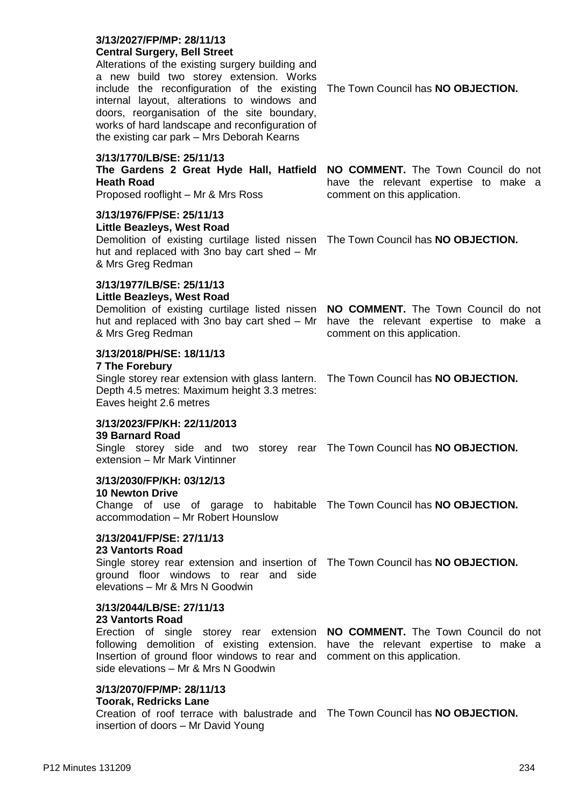### **3/13/2027/FP/MP: 28/11/13 Central Surgery, Bell Street**

Alterations of the existing surgery building and a new build two storey extension. Works include the reconfiguration of the existing The Town Council has **NO OBJECTION.** internal layout, alterations to windows and doors, reorganisation of the site boundary, works of hard landscape and reconfiguration of the existing car park – Mrs Deborah Kearns

### **3/13/1770/LB/SE: 25/11/13**

| The Gardens 2 Great Hyde Hall, Hatfield |  |  |  |
|-----------------------------------------|--|--|--|
| <b>Heath Road</b>                       |  |  |  |
| Proposed rooflight - Mr & Mrs Ross      |  |  |  |

Proposed rooflight – Mr & Mrs Ross

# **3/13/1976/FP/SE: 25/11/13**

# **Little Beazleys, West Road**

Demolition of existing curtilage listed nissen The Town Council has **NO OBJECTION.** hut and replaced with 3no bay cart shed – Mr & Mrs Greg Redman

# **3/13/1977/LB/SE: 25/11/13**

# **Little Beazleys, West Road**

Demolition of existing curtilage listed nissen **NO COMMENT.** The Town Council do not hut and replaced with 3no bay cart shed – Mr have the relevant expertise to make a & Mrs Greg Redman

# **3/13/2018/PH/SE: 18/11/13**

#### **7 The Forebury**

Single storey rear extension with glass lantern. The Town Council has **NO OBJECTION.** Depth 4.5 metres: Maximum height 3.3 metres: Eaves height 2.6 metres

#### **3/13/2023/FP/KH: 22/11/2013 39 Barnard Road**

Single storey side and two storey rear The Town Council has **NO OBJECTION.** extension – Mr Mark Vintinner

# **3/13/2030/FP/KH: 03/12/13**

#### **10 Newton Drive**

Change of use of garage to habitable The Town Council has **NO OBJECTION.** accommodation – Mr Robert Hounslow

# **3/13/2041/FP/SE: 27/11/13**

#### **23 Vantorts Road**

Single storey rear extension and insertion of The Town Council has **NO OBJECTION.** ground floor windows to rear and side elevations – Mr & Mrs N Goodwin

# **3/13/2044/LB/SE: 27/11/13**

#### **23 Vantorts Road**

Erection of single storey rear extension **NO COMMENT.** The Town Council do not following demolition of existing extension. have the relevant expertise to make a Insertion of ground floor windows to rear and comment on this application. side elevations – Mr & Mrs N Goodwin

# **3/13/2070/FP/MP: 28/11/13**

# **Toorak, Redricks Lane**

Creation of roof terrace with balustrade and The Town Council has **NO OBJECTION.**insertion of doors – Mr David Young

**NO COMMENT.** The Town Council do not have the relevant expertise to make a comment on this application.

comment on this application.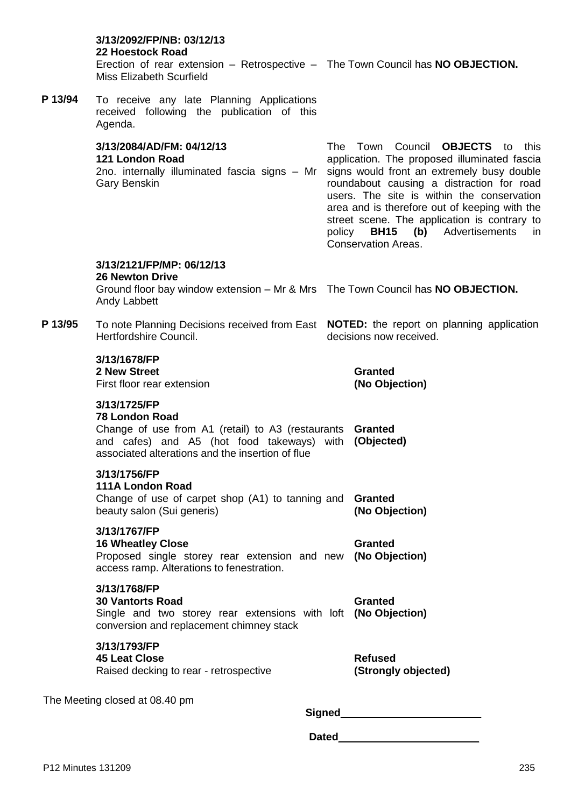|         | 3/13/2092/FP/NB: 03/12/13<br>22 Hoestock Road<br>Erection of rear extension - Retrospective - The Town Council has NO OBJECTION.<br><b>Miss Elizabeth Scurfield</b>                                             |                                                                                                                                                                                                                                                                                                                                                                                                                         |                                       |  |  |
|---------|-----------------------------------------------------------------------------------------------------------------------------------------------------------------------------------------------------------------|-------------------------------------------------------------------------------------------------------------------------------------------------------------------------------------------------------------------------------------------------------------------------------------------------------------------------------------------------------------------------------------------------------------------------|---------------------------------------|--|--|
| P 13/94 | To receive any late Planning Applications<br>received following the publication of this<br>Agenda.                                                                                                              |                                                                                                                                                                                                                                                                                                                                                                                                                         |                                       |  |  |
|         | 3/13/2084/AD/FM: 04/12/13<br>121 London Road<br>2no. internally illuminated fascia signs - Mr<br><b>Gary Benskin</b>                                                                                            | The Town Council<br><b>OBJECTS</b> to<br>this<br>application. The proposed illuminated fascia<br>signs would front an extremely busy double<br>roundabout causing a distraction for road<br>users. The site is within the conservation<br>area and is therefore out of keeping with the<br>street scene. The application is contrary to<br><b>BH15</b> (b) Advertisements<br>policy<br>in<br><b>Conservation Areas.</b> |                                       |  |  |
|         | 3/13/2121/FP/MP: 06/12/13<br><b>26 Newton Drive</b><br>Ground floor bay window extension - Mr & Mrs The Town Council has NO OBJECTION.<br>Andy Labbett                                                          |                                                                                                                                                                                                                                                                                                                                                                                                                         |                                       |  |  |
| P 13/95 | To note Planning Decisions received from East <b>NOTED:</b> the report on planning application<br>Hertfordshire Council.                                                                                        | decisions now received.                                                                                                                                                                                                                                                                                                                                                                                                 |                                       |  |  |
|         | 3/13/1678/FP<br>2 New Street<br>First floor rear extension                                                                                                                                                      |                                                                                                                                                                                                                                                                                                                                                                                                                         | <b>Granted</b><br>(No Objection)      |  |  |
|         | 3/13/1725/FP<br><b>78 London Road</b><br>Change of use from A1 (retail) to A3 (restaurants Granted<br>and cafes) and A5 (hot food takeways) with (Objected)<br>associated alterations and the insertion of flue |                                                                                                                                                                                                                                                                                                                                                                                                                         |                                       |  |  |
|         | 3/13/1756/FP<br>111A London Road<br>Change of use of carpet shop (A1) to tanning and<br>beauty salon (Sui generis)                                                                                              |                                                                                                                                                                                                                                                                                                                                                                                                                         | <b>Granted</b><br>(No Objection)      |  |  |
|         | 3/13/1767/FP<br><b>16 Wheatley Close</b><br>Proposed single storey rear extension and new (No Objection)<br>access ramp. Alterations to fenestration.                                                           |                                                                                                                                                                                                                                                                                                                                                                                                                         | <b>Granted</b>                        |  |  |
|         | 3/13/1768/FP<br><b>30 Vantorts Road</b><br>Single and two storey rear extensions with loft (No Objection)<br>conversion and replacement chimney stack                                                           |                                                                                                                                                                                                                                                                                                                                                                                                                         | <b>Granted</b>                        |  |  |
|         | 3/13/1793/FP<br><b>45 Leat Close</b><br>Raised decking to rear - retrospective                                                                                                                                  |                                                                                                                                                                                                                                                                                                                                                                                                                         | <b>Refused</b><br>(Strongly objected) |  |  |
|         | The Meeting closed at 08.40 pm                                                                                                                                                                                  | Signed                                                                                                                                                                                                                                                                                                                                                                                                                  |                                       |  |  |

**Dated**\_\_\_\_\_\_\_\_\_\_\_\_\_\_\_\_\_\_\_\_\_\_\_\_